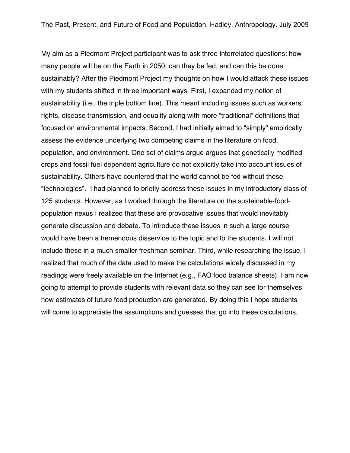My aim as a Piedmont Project participant was to ask three interrelated questions: how many people will be on the Earth in 2050, can they be fed, and can this be done sustainably? After the Piedmont Project my thoughts on how I would attack these issues with my students shifted in three important ways. First, I expanded my notion of sustainability (i.e., the triple bottom line). This meant including issues such as workers rights, disease transmission, and equality along with more "traditional" definitions that focused on environmental impacts. Second, I had initially aimed to "simply" empirically assess the evidence underlying two competing claims in the literature on food, population, and environment. One set of claims argue argues that genetically modified crops and fossil fuel dependent agriculture do not explicitly take into account issues of sustainability. Others have countered that the world cannot be fed without these "technologies". I had planned to briefly address these issues in my introductory class of 125 students. However, as I worked through the literature on the sustainable-foodpopulation nexus I realized that these are provocative issues that would inevitably generate discussion and debate. To introduce these issues in such a large course would have been a tremendous disservice to the topic and to the students. I will not include these in a much smaller freshman seminar. Third, while researching the issue, I realized that much of the data used to make the calculations widely discussed in my readings were freely available on the Internet (e.g., FAO food balance sheets). I am now going to attempt to provide students with relevant data so they can see for themselves how estimates of future food production are generated. By doing this I hope students will come to appreciate the assumptions and guesses that go into these calculations.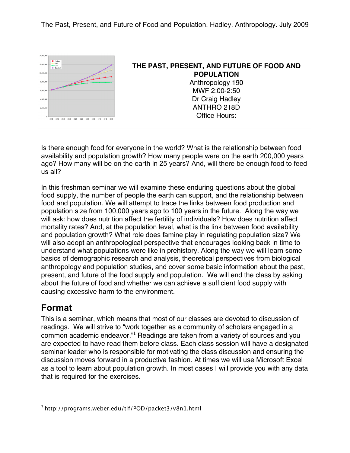

Is there enough food for everyone in the world? What is the relationship between food availability and population growth? How many people were on the earth 200,000 years ago? How many will be on the earth in 25 years? And, will there be enough food to feed us all?

In this freshman seminar we will examine these enduring questions about the global food supply, the number of people the earth can support, and the relationship between food and population. We will attempt to trace the links between food production and population size from 100,000 years ago to 100 years in the future. Along the way we will ask: how does nutrition affect the fertility of individuals? How does nutrition affect mortality rates? And, at the population level, what is the link between food availability and population growth? What role does famine play in regulating population size? We will also adopt an anthropological perspective that encourages looking back in time to understand what populations were like in prehistory. Along the way we will learn some basics of demographic research and analysis, theoretical perspectives from biological anthropology and population studies, and cover some basic information about the past, present, and future of the food supply and population. We will end the class by asking about the future of food and whether we can achieve a sufficient food supply with causing excessive harm to the environment.

## **Format**

This is a seminar, which means that most of our classes are devoted to discussion of readings. We will strive to "work together as a community of scholars engaged in a common academic endeavor."<sup>1</sup> Readings are taken from a variety of sources and you are expected to have read them before class. Each class session will have a designated seminar leader who is responsible for motivating the class discussion and ensuring the discussion moves forward in a productive fashion. At times we will use Microsoft Excel as a tool to learn about population growth. In most cases I will provide you with any data that is required for the exercises.

 <sup>1</sup> http://programs.weber.edu/tlf/POD/packet3/v8n1.html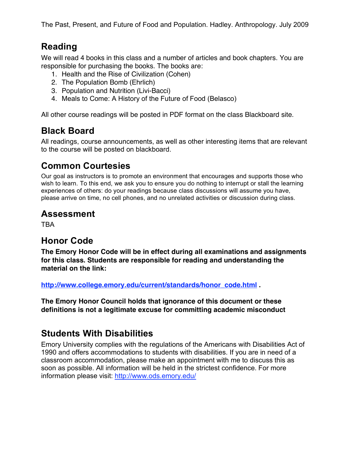## **Reading**

We will read 4 books in this class and a number of articles and book chapters. You are responsible for purchasing the books. The books are:

- 1. Health and the Rise of Civilization (Cohen)
- 2. The Population Bomb (Ehrlich)
- 3. Population and Nutrition (Livi-Bacci)
- 4. Meals to Come: A History of the Future of Food (Belasco)

All other course readings will be posted in PDF format on the class Blackboard site.

## **Black Board**

All readings, course announcements, as well as other interesting items that are relevant to the course will be posted on blackboard.

## **Common Courtesies**

Our goal as instructors is to promote an environment that encourages and supports those who wish to learn. To this end, we ask you to ensure you do nothing to interrupt or stall the learning experiences of others: do your readings because class discussions will assume you have, please arrive on time, no cell phones, and no unrelated activities or discussion during class.

#### **Assessment**

TBA

### **Honor Code**

**The Emory Honor Code will be in effect during all examinations and assignments for this class. Students are responsible for reading and understanding the material on the link:** 

**http://www.college.emory.edu/current/standards/honor\_code.html .**

**The Emory Honor Council holds that ignorance of this document or these definitions is not a legitimate excuse for committing academic misconduct**

## **Students With Disabilities**

Emory University complies with the regulations of the Americans with Disabilities Act of 1990 and offers accommodations to students with disabilities. If you are in need of a classroom accommodation, please make an appointment with me to discuss this as soon as possible. All information will be held in the strictest confidence. For more information please visit: http://www.ods.emory.edu/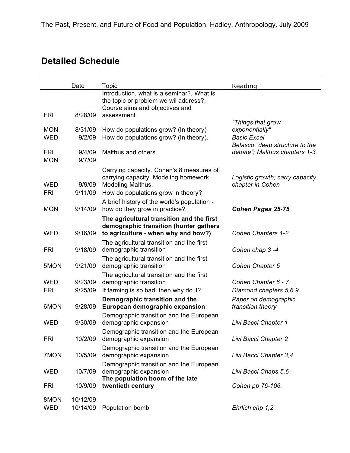# **Detailed Schedule**

|                          | Date                 | Topic                                                                                                                                                                                       | Reading                                              |
|--------------------------|----------------------|---------------------------------------------------------------------------------------------------------------------------------------------------------------------------------------------|------------------------------------------------------|
|                          |                      | Introduction, what is a seminar?, What is<br>the topic or problem we wil address?,<br>Course aims and objectives and                                                                        |                                                      |
| <b>FRI</b>               | 8/28/09              | assessment                                                                                                                                                                                  |                                                      |
| <b>MON</b>               | 8/31/09              | How do populations grow? (In theory)                                                                                                                                                        | "Things that grow<br>exponentially"                  |
| <b>WED</b>               | 9/2/09               | How do populations grow? (In theory).                                                                                                                                                       | <b>Basic Excel</b><br>Belasco "deep structure to the |
| <b>FRI</b><br><b>MON</b> | 9/4/09<br>9/7/09     | Malthus and others                                                                                                                                                                          | debate"; Malthus chapters 1-3                        |
| <b>WED</b><br><b>FRI</b> | 9/9/09<br>9/11/09    | Carrying capacity. Cohen's 8 measures of<br>carrying capacity. Modeling homework.<br>Modeling Malthus.<br>How do populations grow in theory?<br>A brief history of the world's population - | Logistic growth; carry capacity<br>chapter in Cohen  |
| <b>MON</b>               | 9/14/09              | how do they grow in practice?                                                                                                                                                               | <b>Cohen Pages 25-75</b>                             |
| <b>WED</b>               | 9/16/09              | The agricultural transition and the first<br>demographic transition (hunter gathers<br>to agriculture - when why and how?)                                                                  | Cohen Chapters 1-2                                   |
| <b>FRI</b>               | 9/18/09              | The agricultural transition and the first<br>demographic transition                                                                                                                         | Cohen chap 3-4                                       |
| 5MON                     | 9/21/09              | The agricultural transition and the first<br>demographic transition                                                                                                                         | Cohen Chapter 5                                      |
| <b>WED</b><br><b>FRI</b> | 9/23/09<br>9/25/09   | The agricultural transition and the first<br>demographic transition<br>If farming is so bad, then why do it?                                                                                | Cohen Chapter 6 - 7<br>Diamond chapters 5,6,9        |
| 6MON                     | 9/28/09              | Demographic transition and the<br>European demographic expansion                                                                                                                            | Paper on demographic<br>transition theory            |
| <b>WED</b>               | 9/30/09              | Demographic transition and the European<br>demographic expansion                                                                                                                            | Livi Bacci Chapter 1                                 |
| <b>FRI</b>               | 10/2/09              | Demographic transition and the European<br>demographic expansion                                                                                                                            | Livi Bacci Chapter 2                                 |
| 7MON                     | 10/5/09              | Demographic transition and the European<br>demographic expansion                                                                                                                            | Livi Bacci Chapter 3,4                               |
| <b>WED</b>               | 10/7/09              | Demographic transition and the European<br>demographic expansion                                                                                                                            | Livi Bacci Chaps 5,6                                 |
| <b>FRI</b>               | 10/9/09              | The population boom of the late<br>twentieth century                                                                                                                                        | Cohen pp 76-106.                                     |
| 8MON<br><b>WED</b>       | 10/12/09<br>10/14/09 | Population bomb                                                                                                                                                                             | Ehrlich chp 1,2                                      |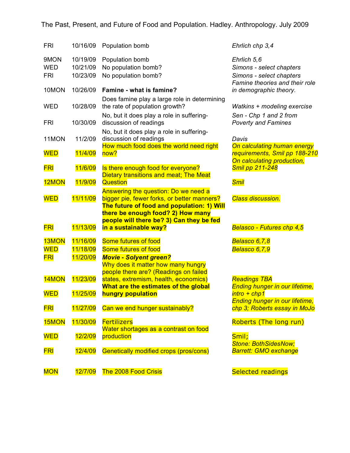| <b>FRI</b>                       | 10/16/09                         | Population bomb                                                                                                                                                        | Ehrlich chp 3,4                                                                                       |
|----------------------------------|----------------------------------|------------------------------------------------------------------------------------------------------------------------------------------------------------------------|-------------------------------------------------------------------------------------------------------|
| 9MON<br><b>WED</b><br><b>FRI</b> | 10/19/09<br>10/21/09<br>10/23/09 | Population bomb<br>No population bomb?<br>No population bomb?                                                                                                          | Ehrlich 5,6<br>Simons - select chapters<br>Simons - select chapters<br>Famine theories and their role |
| 10MON                            | 10/26/09                         | Famine - what is famine?                                                                                                                                               | in demographic theory.                                                                                |
| WED                              | 10/28/09                         | Does famine play a large role in determining<br>the rate of population growth?<br>No, but it does play a role in suffering-                                            | Watkins + modeling exercise<br>Sen - Chp 1 and 2 from                                                 |
| <b>FRI</b>                       | 10/30/09                         | discussion of readings                                                                                                                                                 | <b>Poverty and Famines</b>                                                                            |
| 11MON                            | 11/2/09                          | No, but it does play a role in suffering-<br>discussion of readings<br>How much food does the world need right                                                         | Davis<br>On calculating human energy                                                                  |
| <b>WED</b>                       | 11/4/09                          | now?                                                                                                                                                                   | requirements, Smil pp 188-210<br>On calculating production,                                           |
| <b>FRI</b>                       | 11/6/09                          | Is there enough food for everyone?<br>Dietary transitions and meat; The Meat                                                                                           | <b>Smil pp 211-248</b>                                                                                |
| 12MON                            | 11/9/09                          | <b>Question</b>                                                                                                                                                        | <b>Smil</b>                                                                                           |
| <b>WED</b>                       | 11/11/09                         | Answering the question: Do we need a<br>bigger pie, fewer forks, or better manners?<br>The future of food and population: 1) Will<br>there be enough food? 2) How many | <b>Class discussion.</b>                                                                              |
| <b>FRI</b>                       | 11/13/09                         | people will there be? 3) Can they be fed<br>in a sustainable way?                                                                                                      | <b>Belasco - Futures chp 4,5</b>                                                                      |
| 13MON<br><b>WED</b>              | 11/16/09<br>11/18/09             | Some futures of food<br>Some futures of food                                                                                                                           | Belasco 6,7,8<br>Belasco 6,7,9                                                                        |
| <b>FRI</b>                       | 11/20/09                         | <b>Movie - Solyent green?</b><br>Why does it matter how many hungry<br>people there are? (Readings on failed                                                           |                                                                                                       |
| 14MON                            | 11/23/09                         | states, extremism, health, economics)<br>What are the estimates of the global                                                                                          | <b>Readings TBA</b><br><b>Ending hunger in our lifetime,</b>                                          |
| <u>WED</u>                       | 11/25/09                         | hungry population                                                                                                                                                      | $\text{intro} + \text{chp1}$<br><b>Ending hunger in our lifetime,</b>                                 |
| <b>FRI</b>                       | 11/27/09                         | Can we end hunger sustainably?                                                                                                                                         | chp 3; Roberts essay in MoJo                                                                          |
| 15MON                            | 11/30/09                         | <b>Fertilizers</b><br>Water shortages as a contrast on food                                                                                                            | Roberts (The long run)                                                                                |
| <b>WED</b>                       | 12/2/09                          | production                                                                                                                                                             | Smil;<br><b>Stone: BothSidesNow;</b>                                                                  |
| <u>FRI</u>                       | 12/4/09                          | Genetically modified crops (pros/cons)                                                                                                                                 | <b>Barrett: GMO exchange</b>                                                                          |
| <b>MON</b>                       | 12/7/09                          | <b>The 2008 Food Crisis</b>                                                                                                                                            | <b>Selected readings</b>                                                                              |